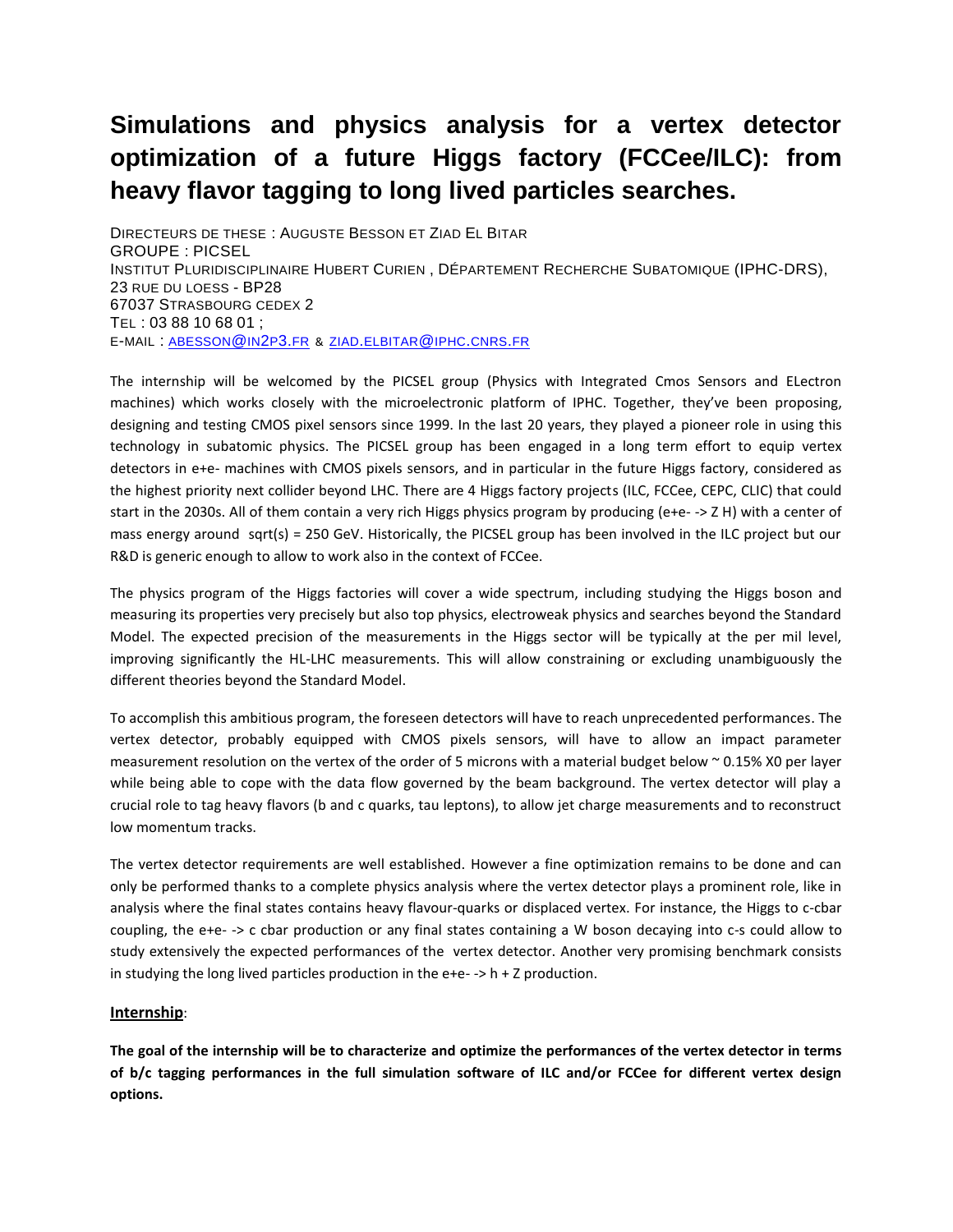## **Simulations and physics analysis for a vertex detector optimization of a future Higgs factory (FCCee/ILC): from heavy flavor tagging to long lived particles searches.**

DIRECTEURS DE THESE : AUGUSTE BESSON ET ZIAD EL BITAR GROUPE : PICSEL INSTITUT PLURIDISCIPLINAIRE HUBERT CURIEN, DÉPARTEMENT RECHERCHE SUBATOMIQUE (IPHC-DRS), 23 RUE DU LOESS - BP28 67037 STRASBOURG CEDEX 2 TEL : 03 88 10 68 01 ; E-MAIL : [ABESSON](mailto:abesson@in2p3.fr)@IN2P3.FR & ZIAD.[ELBITAR](mailto:ziad.elbitar@iphc.cnrs.fr)@IPHC.CNRS.FR

The internship will be welcomed by the PICSEL group (Physics with Integrated Cmos Sensors and ELectron machines) which works closely with the microelectronic platform of IPHC. Together, they've been proposing, designing and testing CMOS pixel sensors since 1999. In the last 20 years, they played a pioneer role in using this technology in subatomic physics. The PICSEL group has been engaged in a long term effort to equip vertex detectors in e+e- machines with CMOS pixels sensors, and in particular in the future Higgs factory, considered as the highest priority next collider beyond LHC. There are 4 Higgs factory projects (ILC, FCCee, CEPC, CLIC) that could start in the 2030s. All of them contain a very rich Higgs physics program by producing (e+e- -> Z H) with a center of mass energy around sqrt(s) = 250 GeV. Historically, the PICSEL group has been involved in the ILC project but our R&D is generic enough to allow to work also in the context of FCCee.

The physics program of the Higgs factories will cover a wide spectrum, including studying the Higgs boson and measuring its properties very precisely but also top physics, electroweak physics and searches beyond the Standard Model. The expected precision of the measurements in the Higgs sector will be typically at the per mil level, improving significantly the HL-LHC measurements. This will allow constraining or excluding unambiguously the different theories beyond the Standard Model.

To accomplish this ambitious program, the foreseen detectors will have to reach unprecedented performances. The vertex detector, probably equipped with CMOS pixels sensors, will have to allow an impact parameter measurement resolution on the vertex of the order of 5 microns with a material budget below ~ 0.15% X0 per layer while being able to cope with the data flow governed by the beam background. The vertex detector will play a crucial role to tag heavy flavors (b and c quarks, tau leptons), to allow jet charge measurements and to reconstruct low momentum tracks.

The vertex detector requirements are well established. However a fine optimization remains to be done and can only be performed thanks to a complete physics analysis where the vertex detector plays a prominent role, like in analysis where the final states contains heavy flavour-quarks or displaced vertex. For instance, the Higgs to c-cbar coupling, the e+e- -> c cbar production or any final states containing a W boson decaying into c-s could allow to study extensively the expected performances of the vertex detector. Another very promising benchmark consists in studying the long lived particles production in the  $e+e \gt$  h + Z production.

## **Internship**:

**The goal of the internship will be to characterize and optimize the performances of the vertex detector in terms of b/c tagging performances in the full simulation software of ILC and/or FCCee for different vertex design options.**